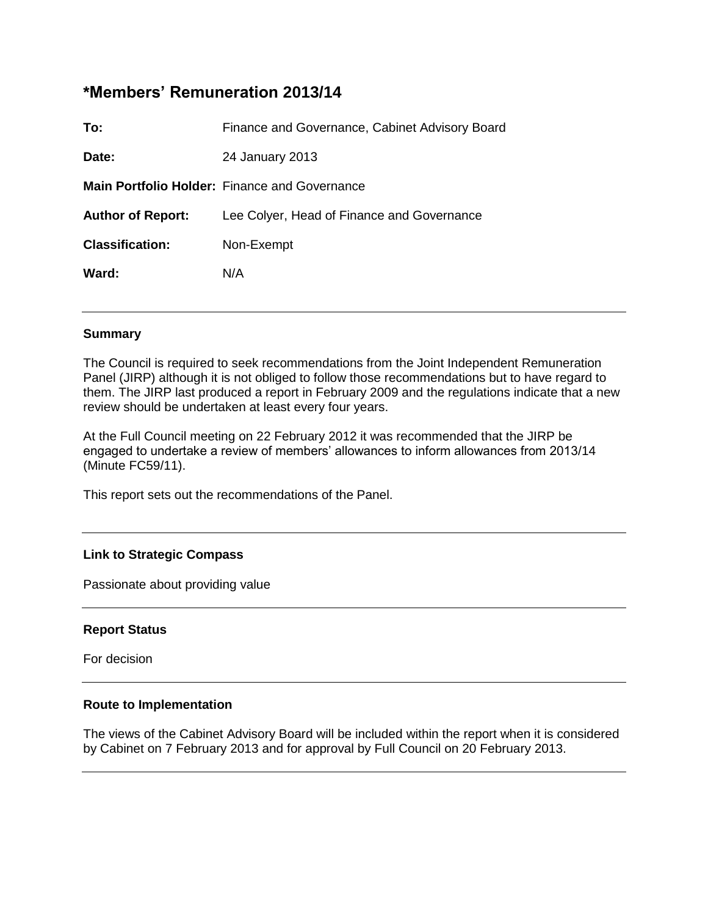# **\*Members' Remuneration 2013/14**

| To:                      | Finance and Governance, Cabinet Advisory Board       |
|--------------------------|------------------------------------------------------|
| Date:                    | 24 January 2013                                      |
|                          | <b>Main Portfolio Holder:</b> Finance and Governance |
| <b>Author of Report:</b> | Lee Colyer, Head of Finance and Governance           |
| <b>Classification:</b>   | Non-Exempt                                           |
| Ward:                    | N/A                                                  |
|                          |                                                      |

#### **Summary**

The Council is required to seek recommendations from the Joint Independent Remuneration Panel (JIRP) although it is not obliged to follow those recommendations but to have regard to them. The JIRP last produced a report in February 2009 and the regulations indicate that a new review should be undertaken at least every four years.

At the Full Council meeting on 22 February 2012 it was recommended that the JIRP be engaged to undertake a review of members' allowances to inform allowances from 2013/14 (Minute FC59/11).

This report sets out the recommendations of the Panel.

# **Link to Strategic Compass**

Passionate about providing value

#### **Report Status**

For decision

#### **Route to Implementation**

The views of the Cabinet Advisory Board will be included within the report when it is considered by Cabinet on 7 February 2013 and for approval by Full Council on 20 February 2013.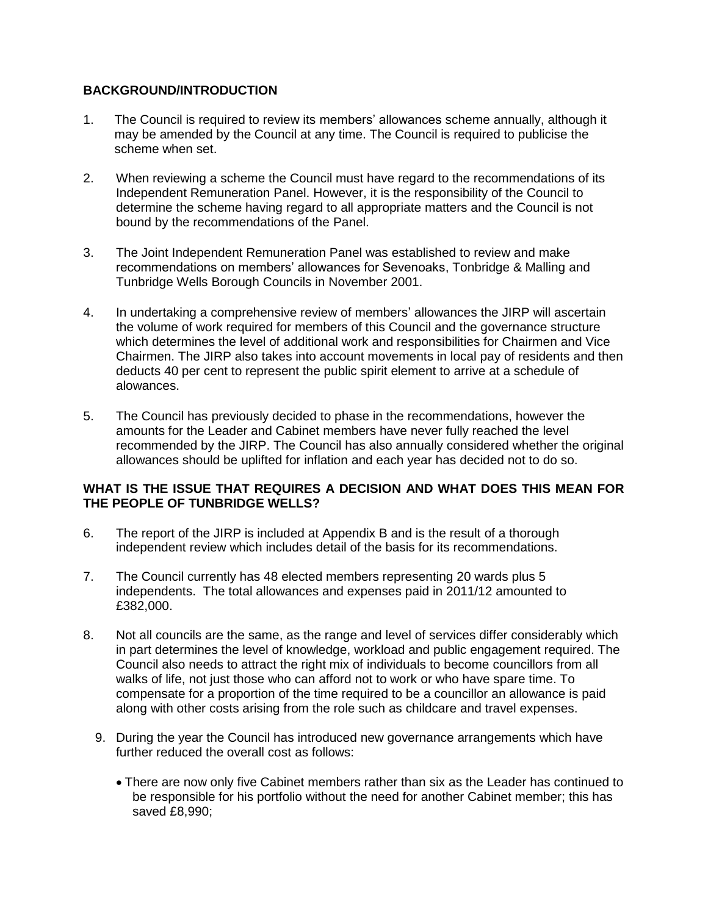# **BACKGROUND/INTRODUCTION**

- 1. The Council is required to review its members' allowances scheme annually, although it may be amended by the Council at any time. The Council is required to publicise the scheme when set.
- 2. When reviewing a scheme the Council must have regard to the recommendations of its Independent Remuneration Panel. However, it is the responsibility of the Council to determine the scheme having regard to all appropriate matters and the Council is not bound by the recommendations of the Panel.
- 3. The Joint Independent Remuneration Panel was established to review and make recommendations on members' allowances for Sevenoaks, Tonbridge & Malling and Tunbridge Wells Borough Councils in November 2001.
- 4. In undertaking a comprehensive review of members' allowances the JIRP will ascertain the volume of work required for members of this Council and the governance structure which determines the level of additional work and responsibilities for Chairmen and Vice Chairmen. The JIRP also takes into account movements in local pay of residents and then deducts 40 per cent to represent the public spirit element to arrive at a schedule of alowances.
- 5. The Council has previously decided to phase in the recommendations, however the amounts for the Leader and Cabinet members have never fully reached the level recommended by the JIRP. The Council has also annually considered whether the original allowances should be uplifted for inflation and each year has decided not to do so.

# **WHAT IS THE ISSUE THAT REQUIRES A DECISION AND WHAT DOES THIS MEAN FOR THE PEOPLE OF TUNBRIDGE WELLS?**

- 6. The report of the JIRP is included at Appendix B and is the result of a thorough independent review which includes detail of the basis for its recommendations.
- 7. The Council currently has 48 elected members representing 20 wards plus 5 independents. The total allowances and expenses paid in 2011/12 amounted to £382,000.
- 8. Not all councils are the same, as the range and level of services differ considerably which in part determines the level of knowledge, workload and public engagement required. The Council also needs to attract the right mix of individuals to become councillors from all walks of life, not just those who can afford not to work or who have spare time. To compensate for a proportion of the time required to be a councillor an allowance is paid along with other costs arising from the role such as childcare and travel expenses.
	- 9. During the year the Council has introduced new governance arrangements which have further reduced the overall cost as follows:
		- There are now only five Cabinet members rather than six as the Leader has continued to be responsible for his portfolio without the need for another Cabinet member; this has saved £8,990;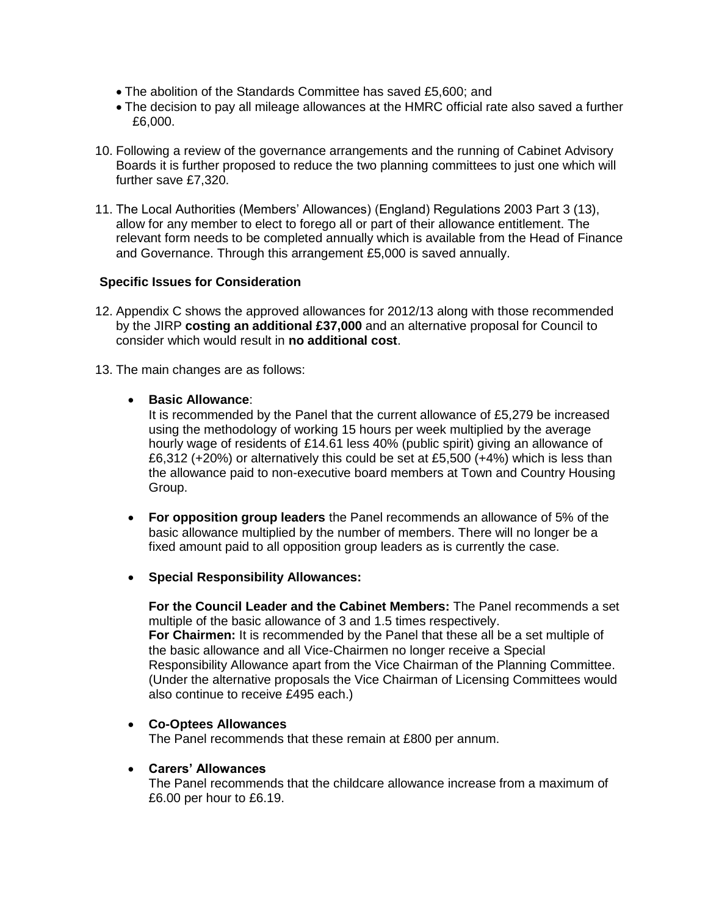- The abolition of the Standards Committee has saved £5,600; and
- The decision to pay all mileage allowances at the HMRC official rate also saved a further £6,000.
- 10. Following a review of the governance arrangements and the running of Cabinet Advisory Boards it is further proposed to reduce the two planning committees to just one which will further save £7,320.
- 11. The Local Authorities (Members' Allowances) (England) Regulations 2003 Part 3 (13), allow for any member to elect to forego all or part of their allowance entitlement. The relevant form needs to be completed annually which is available from the Head of Finance and Governance. Through this arrangement £5,000 is saved annually.

# **Specific Issues for Consideration**

- 12. Appendix C shows the approved allowances for 2012/13 along with those recommended by the JIRP **costing an additional £37,000** and an alternative proposal for Council to consider which would result in **no additional cost**.
- 13. The main changes are as follows:

# **Basic Allowance**:

It is recommended by the Panel that the current allowance of £5,279 be increased using the methodology of working 15 hours per week multiplied by the average hourly wage of residents of £14.61 less 40% (public spirit) giving an allowance of £6,312 (+20%) or alternatively this could be set at £5,500 (+4%) which is less than the allowance paid to non-executive board members at Town and Country Housing Group.

- **For opposition group leaders** the Panel recommends an allowance of 5% of the basic allowance multiplied by the number of members. There will no longer be a fixed amount paid to all opposition group leaders as is currently the case.
- **Special Responsibility Allowances:**

**For the Council Leader and the Cabinet Members:** The Panel recommends a set multiple of the basic allowance of 3 and 1.5 times respectively. **For Chairmen:** It is recommended by the Panel that these all be a set multiple of the basic allowance and all Vice-Chairmen no longer receive a Special Responsibility Allowance apart from the Vice Chairman of the Planning Committee. (Under the alternative proposals the Vice Chairman of Licensing Committees would also continue to receive £495 each.)

# **Co-Optees Allowances**

The Panel recommends that these remain at £800 per annum.

#### **Carers' Allowances**

The Panel recommends that the childcare allowance increase from a maximum of £6.00 per hour to £6.19.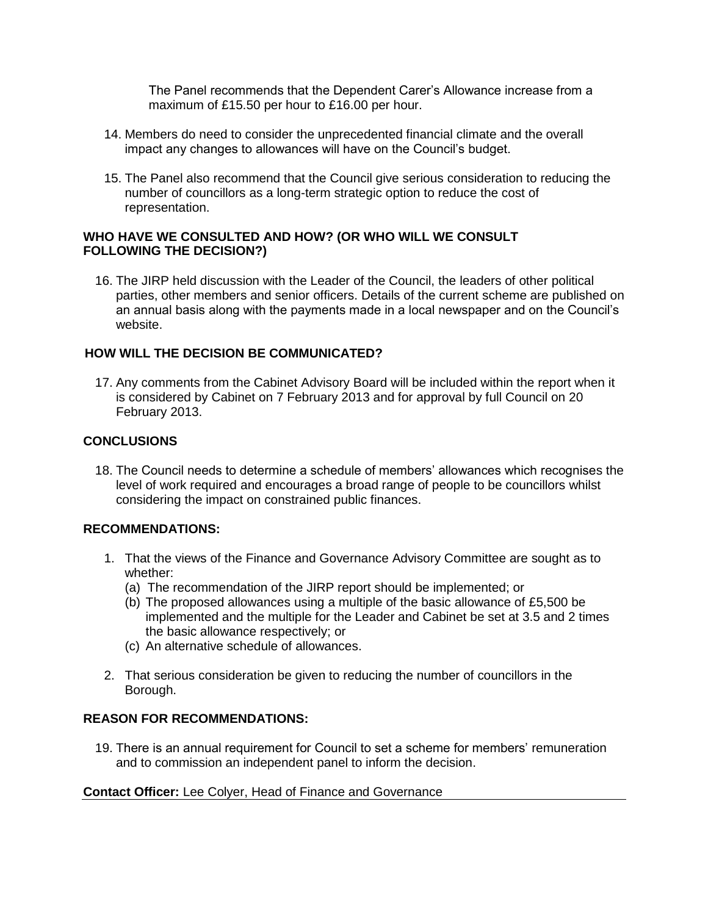The Panel recommends that the Dependent Carer's Allowance increase from a maximum of £15.50 per hour to £16.00 per hour.

- 14. Members do need to consider the unprecedented financial climate and the overall impact any changes to allowances will have on the Council's budget.
- 15. The Panel also recommend that the Council give serious consideration to reducing the number of councillors as a long-term strategic option to reduce the cost of representation.

### **WHO HAVE WE CONSULTED AND HOW? (OR WHO WILL WE CONSULT FOLLOWING THE DECISION?)**

16. The JIRP held discussion with the Leader of the Council, the leaders of other political parties, other members and senior officers. Details of the current scheme are published on an annual basis along with the payments made in a local newspaper and on the Council's website.

# **HOW WILL THE DECISION BE COMMUNICATED?**

17. Any comments from the Cabinet Advisory Board will be included within the report when it is considered by Cabinet on 7 February 2013 and for approval by full Council on 20 February 2013.

# **CONCLUSIONS**

18. The Council needs to determine a schedule of members' allowances which recognises the level of work required and encourages a broad range of people to be councillors whilst considering the impact on constrained public finances.

# **RECOMMENDATIONS:**

- 1. That the views of the Finance and Governance Advisory Committee are sought as to whether:
	- (a) The recommendation of the JIRP report should be implemented; or
	- (b) The proposed allowances using a multiple of the basic allowance of £5,500 be implemented and the multiple for the Leader and Cabinet be set at 3.5 and 2 times the basic allowance respectively; or
	- (c) An alternative schedule of allowances.
- 2. That serious consideration be given to reducing the number of councillors in the Borough.

# **REASON FOR RECOMMENDATIONS:**

19. There is an annual requirement for Council to set a scheme for members' remuneration and to commission an independent panel to inform the decision.

# **Contact Officer:** Lee Colyer, Head of Finance and Governance